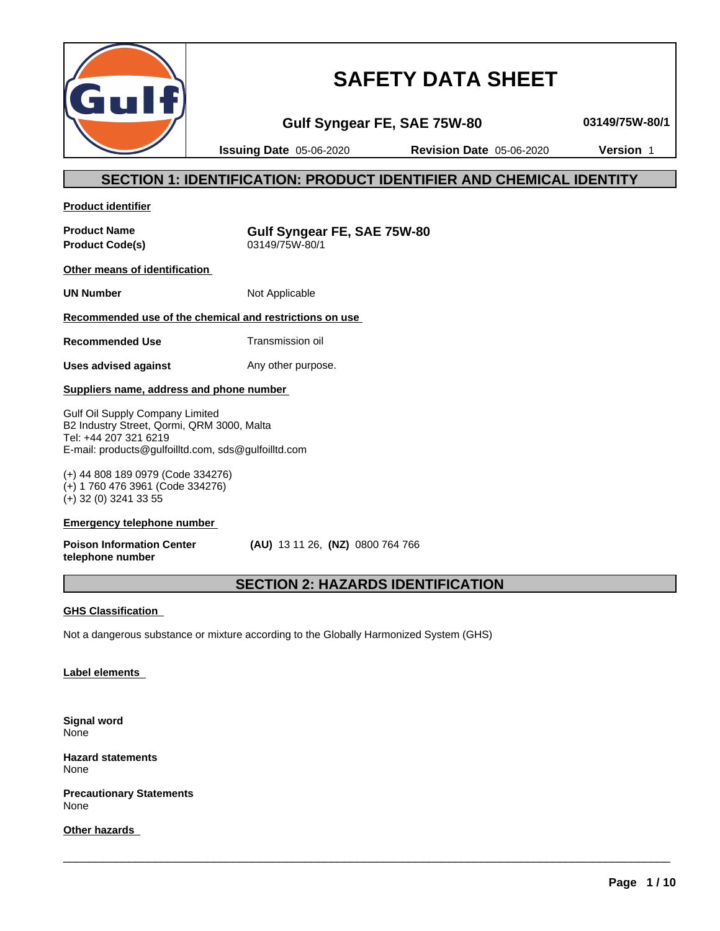

# **SAFETY DATA SHEET**

**Gulf Syngear FE, SAE 75W-80 03149/75W-80/1**

**Issuing Date** 05-06-2020 **Revision Date** 05-06-2020 **Version** 1

# **SECTION 1: IDENTIFICATION: PRODUCT IDENTIFIER AND CHEMICAL IDENTITY**

**Product identifier**

**Product Code(s)** 

**Product Name**<br> **Product Code(s)**<br> **COMPOS 03149/75W-80/1**<br> **Product Code(s)** 

**Other means of identification**

**UN Number** Not Applicable

# **Recommended use of the chemical and restrictions on use**

**Recommended Use** Transmission oil

**Uses advised against** Any other purpose.

# **Suppliers name, address and phone number**

Gulf Oil Supply Company Limited B2 Industry Street, Qormi, QRM 3000, Malta Tel: +44 207 321 6219 E-mail: products@gulfoilltd.com, sds@gulfoilltd.com

(+) 44 808 189 0979 (Code 334276) (+) 1 760 476 3961 (Code 334276) (+) 32 (0) 3241 33 55

## **Emergency telephone number**

**Poison Information Center telephone number**

 **(AU)** 13 11 26, **(NZ)** 0800 764 766

# **SECTION 2: HAZARDS IDENTIFICATION**

 $\overline{\phantom{a}}$  ,  $\overline{\phantom{a}}$  ,  $\overline{\phantom{a}}$  ,  $\overline{\phantom{a}}$  ,  $\overline{\phantom{a}}$  ,  $\overline{\phantom{a}}$  ,  $\overline{\phantom{a}}$  ,  $\overline{\phantom{a}}$  ,  $\overline{\phantom{a}}$  ,  $\overline{\phantom{a}}$  ,  $\overline{\phantom{a}}$  ,  $\overline{\phantom{a}}$  ,  $\overline{\phantom{a}}$  ,  $\overline{\phantom{a}}$  ,  $\overline{\phantom{a}}$  ,  $\overline{\phantom{a}}$ 

# **GHS Classification**

Not a dangerous substance or mixture according to the Globally Harmonized System (GHS)

# **Label elements**

**Signal word** None

**Hazard statements** None

**Precautionary Statements** None

**Other hazards**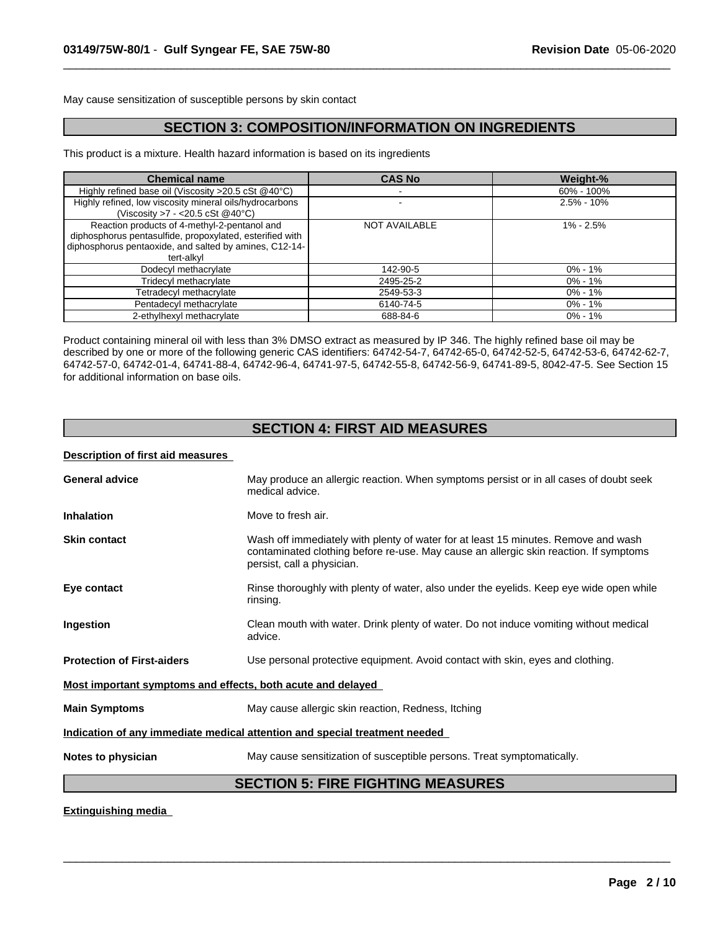May cause sensitization of susceptible persons by skin contact

# **SECTION 3: COMPOSITION/INFORMATION ON INGREDIENTS**

 $\overline{\phantom{a}}$  ,  $\overline{\phantom{a}}$  ,  $\overline{\phantom{a}}$  ,  $\overline{\phantom{a}}$  ,  $\overline{\phantom{a}}$  ,  $\overline{\phantom{a}}$  ,  $\overline{\phantom{a}}$  ,  $\overline{\phantom{a}}$  ,  $\overline{\phantom{a}}$  ,  $\overline{\phantom{a}}$  ,  $\overline{\phantom{a}}$  ,  $\overline{\phantom{a}}$  ,  $\overline{\phantom{a}}$  ,  $\overline{\phantom{a}}$  ,  $\overline{\phantom{a}}$  ,  $\overline{\phantom{a}}$ 

This product is a mixture. Health hazard information is based on its ingredients

| <b>Chemical name</b>                                                                                                                                                             | <b>CAS No</b>        | Weight-%       |
|----------------------------------------------------------------------------------------------------------------------------------------------------------------------------------|----------------------|----------------|
| Highly refined base oil (Viscosity >20.5 cSt @40°C)                                                                                                                              |                      | 60% - 100%     |
| Highly refined, low viscosity mineral oils/hydrocarbons<br>(Viscosity $>7 - 20.5 \text{ cSt}$ @40°C)                                                                             |                      | $2.5\% - 10\%$ |
| Reaction products of 4-methyl-2-pentanol and<br>diphosphorus pentasulfide, propoxylated, esterified with<br>diphosphorus pentaoxide, and salted by amines, C12-14-<br>tert-alkvl | <b>NOT AVAILABLE</b> | $1\% - 2.5\%$  |
| Dodecyl methacrylate                                                                                                                                                             | 142-90-5             | $0\% - 1\%$    |
| Tridecyl methacrylate                                                                                                                                                            | 2495-25-2            | $0\% - 1\%$    |
| Tetradecyl methacrylate                                                                                                                                                          | 2549-53-3            | $0\% - 1\%$    |
| Pentadecyl methacrylate                                                                                                                                                          | 6140-74-5            | 0% - 1%        |
| 2-ethylhexyl methacrylate                                                                                                                                                        | 688-84-6             | $0\% - 1\%$    |

Product containing mineral oil with less than 3% DMSO extract as measured by IP 346. The highly refined base oil may be described by one or more of the following generic CAS identifiers: 64742-54-7, 64742-65-0, 64742-52-5, 64742-53-6, 64742-62-7, 64742-57-0, 64742-01-4, 64741-88-4, 64742-96-4, 64741-97-5, 64742-55-8, 64742-56-9, 64741-89-5, 8042-47-5. See Section 15 for additional information on base oils.

# **SECTION 4: FIRST AID MEASURES**

## **Description of first aid measures**

| <b>General advice</b>                                       | May produce an allergic reaction. When symptoms persist or in all cases of doubt seek                                                                                                                     |
|-------------------------------------------------------------|-----------------------------------------------------------------------------------------------------------------------------------------------------------------------------------------------------------|
|                                                             | medical advice.                                                                                                                                                                                           |
| <b>Inhalation</b>                                           | Move to fresh air.                                                                                                                                                                                        |
| <b>Skin contact</b>                                         | Wash off immediately with plenty of water for at least 15 minutes. Remove and wash<br>contaminated clothing before re-use. May cause an allergic skin reaction. If symptoms<br>persist, call a physician. |
| Eye contact                                                 | Rinse thoroughly with plenty of water, also under the eyelids. Keep eye wide open while<br>rinsing.                                                                                                       |
| Ingestion                                                   | Clean mouth with water. Drink plenty of water. Do not induce vomiting without medical<br>advice.                                                                                                          |
| <b>Protection of First-aiders</b>                           | Use personal protective equipment. Avoid contact with skin, eyes and clothing.                                                                                                                            |
| Most important symptoms and effects, both acute and delayed |                                                                                                                                                                                                           |
| <b>Main Symptoms</b>                                        | May cause allergic skin reaction, Redness, Itching                                                                                                                                                        |
|                                                             | Indication of any immediate medical attention and special treatment needed                                                                                                                                |
| Notes to physician                                          | May cause sensitization of susceptible persons. Treat symptomatically.                                                                                                                                    |
|                                                             | <b>SECTION 5: FIRE FIGHTING MEASURES</b>                                                                                                                                                                  |

 $\overline{\phantom{a}}$  ,  $\overline{\phantom{a}}$  ,  $\overline{\phantom{a}}$  ,  $\overline{\phantom{a}}$  ,  $\overline{\phantom{a}}$  ,  $\overline{\phantom{a}}$  ,  $\overline{\phantom{a}}$  ,  $\overline{\phantom{a}}$  ,  $\overline{\phantom{a}}$  ,  $\overline{\phantom{a}}$  ,  $\overline{\phantom{a}}$  ,  $\overline{\phantom{a}}$  ,  $\overline{\phantom{a}}$  ,  $\overline{\phantom{a}}$  ,  $\overline{\phantom{a}}$  ,  $\overline{\phantom{a}}$ 

## **Extinguishing media**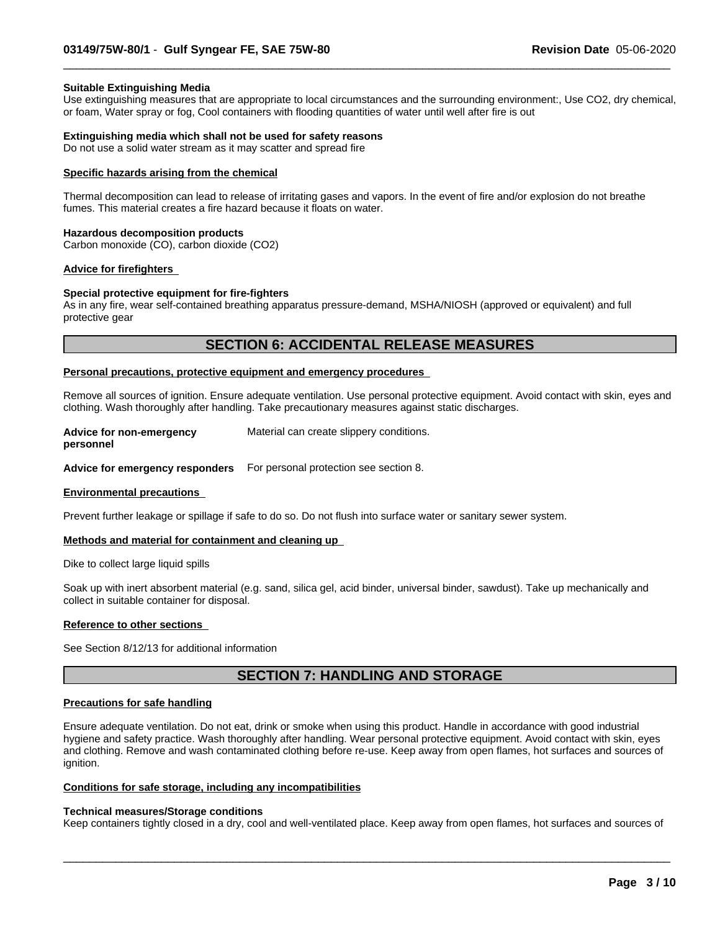#### **Suitable Extinguishing Media**

Use extinguishing measures that are appropriate to local circumstances and the surrounding environment:, Use CO2, dry chemical, or foam, Water spray or fog, Cool containers with flooding quantities of water untilwell after fire is out

 $\overline{\phantom{a}}$  ,  $\overline{\phantom{a}}$  ,  $\overline{\phantom{a}}$  ,  $\overline{\phantom{a}}$  ,  $\overline{\phantom{a}}$  ,  $\overline{\phantom{a}}$  ,  $\overline{\phantom{a}}$  ,  $\overline{\phantom{a}}$  ,  $\overline{\phantom{a}}$  ,  $\overline{\phantom{a}}$  ,  $\overline{\phantom{a}}$  ,  $\overline{\phantom{a}}$  ,  $\overline{\phantom{a}}$  ,  $\overline{\phantom{a}}$  ,  $\overline{\phantom{a}}$  ,  $\overline{\phantom{a}}$ 

#### **Extinguishing media which shall not be used for safety reasons**

Do not use a solid water stream as it may scatter and spread fire

#### **Specific hazards arising from the chemical**

Thermal decomposition can lead to release of irritating gases and vapors. In the event of fire and/or explosion do not breathe fumes. This material creates a fire hazard because it floats on water.

#### **Hazardous decomposition products**

Carbon monoxide (CO), carbon dioxide (CO2)

#### **Advice for firefighters**

#### **Special protective equipment for fire-fighters**

As in any fire, wear self-contained breathing apparatus pressure-demand, MSHA/NIOSH (approved or equivalent) and full protective gear

# **SECTION 6: ACCIDENTAL RELEASE MEASURES**

#### **Personal precautions, protective equipment and emergency procedures**

Remove all sources of ignition. Ensure adequate ventilation. Use personal protective equipment.Avoid contact with skin, eyes and clothing. Wash thoroughly after handling. Take precautionary measures against static discharges.

| <b>Advice for non-emergency</b> | Material can create slippery conditions. |
|---------------------------------|------------------------------------------|
|---------------------------------|------------------------------------------|

**personnel**

**Advice for emergency responders** For personal protection see section 8.

#### **Environmental precautions**

Prevent further leakage or spillage if safe to do so. Do not flush into surface water or sanitary sewer system.

#### **Methods and material for containment and cleaning up**

Dike to collect large liquid spills

Soak up with inert absorbent material (e.g. sand, silica gel, acid binder, universal binder, sawdust). Take up mechanically and collect in suitable container for disposal.

#### **Reference to other sections**

See Section 8/12/13 for additional information

# **SECTION 7: HANDLING AND STORAGE**

## **Precautions for safe handling**

Ensure adequate ventilation. Do not eat, drink or smoke when using this product. Handle in accordance with good industrial hygiene and safety practice. Wash thoroughly after handling. Wear personal protective equipment. Avoid contact with skin, eyes and clothing. Remove and wash contaminated clothing before re-use. Keep away from open flames, hot surfaces and sources of ignition.

#### **Conditions for safe storage, including any incompatibilities**

#### **Technical measures/Storage conditions**

Keep containers tightly closed in a dry, cool and well-ventilated place. Keep away from open flames, hot surfaces and sources of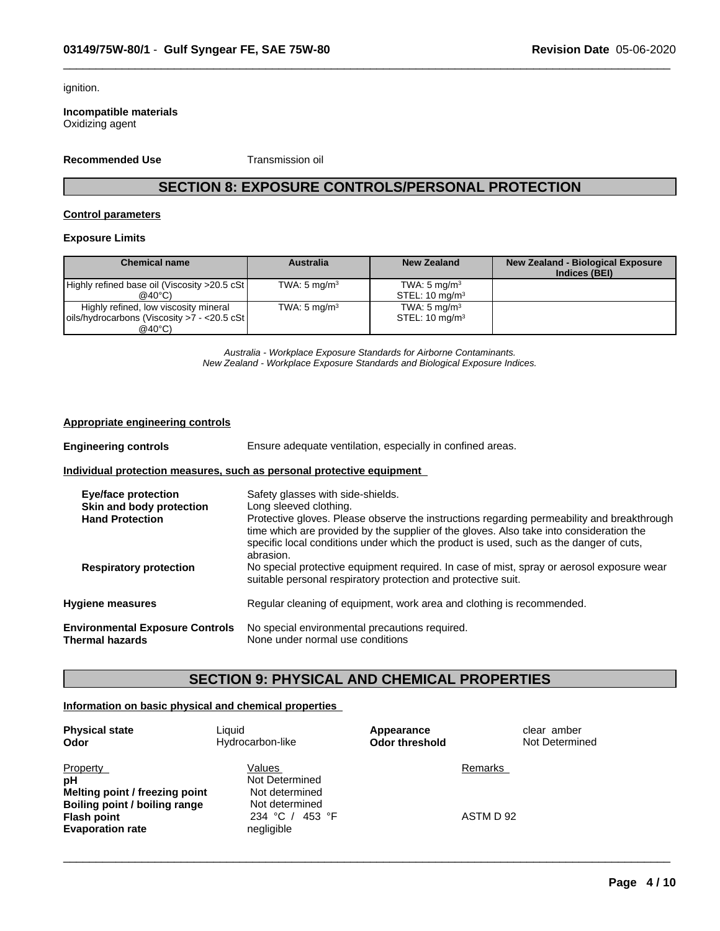ignition.

**Incompatible materials** Oxidizing agent

**Recommended Use** Transmission oil

# **SECTION 8: EXPOSURE CONTROLS/PERSONAL PROTECTION**

 $\overline{\phantom{a}}$  ,  $\overline{\phantom{a}}$  ,  $\overline{\phantom{a}}$  ,  $\overline{\phantom{a}}$  ,  $\overline{\phantom{a}}$  ,  $\overline{\phantom{a}}$  ,  $\overline{\phantom{a}}$  ,  $\overline{\phantom{a}}$  ,  $\overline{\phantom{a}}$  ,  $\overline{\phantom{a}}$  ,  $\overline{\phantom{a}}$  ,  $\overline{\phantom{a}}$  ,  $\overline{\phantom{a}}$  ,  $\overline{\phantom{a}}$  ,  $\overline{\phantom{a}}$  ,  $\overline{\phantom{a}}$ 

## **Control parameters**

## **Exposure Limits**

| <b>Chemical name</b>                                | <b>Australia</b>        | New Zealand               | <b>New Zealand - Biological Exposure</b><br>Indices (BEI) |
|-----------------------------------------------------|-------------------------|---------------------------|-----------------------------------------------------------|
| Highly refined base oil (Viscosity >20.5 cSt        | TWA: $5 \text{ mg/m}^3$ | TWA: $5 \text{ mg/m}^3$   |                                                           |
| $@40^{\circ}$ C)                                    |                         | STEL: $10 \text{ mg/m}^3$ |                                                           |
| Highly refined, low viscosity mineral               | TWA: $5 \text{ mg/m}^3$ | TWA: $5 \text{ mg/m}^3$   |                                                           |
| $\vert$ oils/hydrocarbons (Viscosity >7 - <20.5 cSt |                         | STEL: $10 \text{ mg/m}^3$ |                                                           |
| $@40^{\circ}$ C)                                    |                         |                           |                                                           |

*Australia - Workplace Exposure Standards for Airborne Contaminants. New Zealand - Workplace Exposure Standards and Biological Exposure Indices.*

#### **Appropriate engineering controls**

| <b>Engineering controls</b>                               | Ensure adequate ventilation, especially in confined areas.                                                                                                                                                                                                                                   |
|-----------------------------------------------------------|----------------------------------------------------------------------------------------------------------------------------------------------------------------------------------------------------------------------------------------------------------------------------------------------|
|                                                           | Individual protection measures, such as personal protective equipment                                                                                                                                                                                                                        |
| <b>Eye/face protection</b>                                | Safety glasses with side-shields.                                                                                                                                                                                                                                                            |
| Skin and body protection                                  | Long sleeved clothing.                                                                                                                                                                                                                                                                       |
| <b>Hand Protection</b>                                    | Protective gloves. Please observe the instructions regarding permeability and breakthrough<br>time which are provided by the supplier of the gloves. Also take into consideration the<br>specific local conditions under which the product is used, such as the danger of cuts,<br>abrasion. |
| <b>Respiratory protection</b>                             | No special protective equipment required. In case of mist, spray or aerosol exposure wear<br>suitable personal respiratory protection and protective suit.                                                                                                                                   |
| <b>Hygiene measures</b>                                   | Regular cleaning of equipment, work area and clothing is recommended.                                                                                                                                                                                                                        |
| <b>Environmental Exposure Controls</b><br>Thermal hazards | No special environmental precautions required.<br>None under normal use conditions                                                                                                                                                                                                           |

# **SECTION 9: PHYSICAL AND CHEMICAL PROPERTIES**

 $\overline{\phantom{a}}$  ,  $\overline{\phantom{a}}$  ,  $\overline{\phantom{a}}$  ,  $\overline{\phantom{a}}$  ,  $\overline{\phantom{a}}$  ,  $\overline{\phantom{a}}$  ,  $\overline{\phantom{a}}$  ,  $\overline{\phantom{a}}$  ,  $\overline{\phantom{a}}$  ,  $\overline{\phantom{a}}$  ,  $\overline{\phantom{a}}$  ,  $\overline{\phantom{a}}$  ,  $\overline{\phantom{a}}$  ,  $\overline{\phantom{a}}$  ,  $\overline{\phantom{a}}$  ,  $\overline{\phantom{a}}$ 

# **Information on basic physical and chemical properties**

| <b>Physical state</b><br>Odor                                                     | Liauid<br>Hydrocarbon-like                                   | Appearance<br><b>Odor threshold</b> | clear amber<br>Not Determined |
|-----------------------------------------------------------------------------------|--------------------------------------------------------------|-------------------------------------|-------------------------------|
| Property<br>pH<br>Melting point / freezing point<br>Boiling point / boiling range | Values<br>Not Determined<br>Not determined<br>Not determined | Remarks                             |                               |
| <b>Flash point</b><br><b>Evaporation rate</b>                                     | 234 °C /<br>453 °F<br>negligible                             | ASTM D 92                           |                               |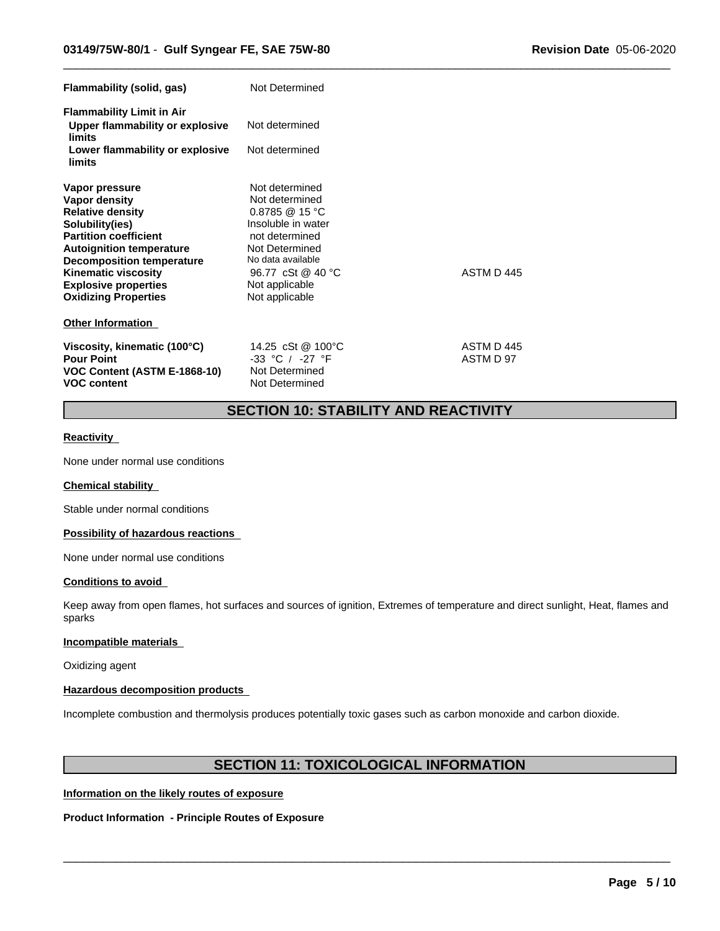| Flammability (solid, gas)                                                                                                                                                                                                                                                               | Not Determined                                                                                                                                                                                            |                         |  |
|-----------------------------------------------------------------------------------------------------------------------------------------------------------------------------------------------------------------------------------------------------------------------------------------|-----------------------------------------------------------------------------------------------------------------------------------------------------------------------------------------------------------|-------------------------|--|
| <b>Flammability Limit in Air</b><br>Upper flammability or explosive<br>limits<br>Lower flammability or explosive<br>limits                                                                                                                                                              | Not determined<br>Not determined                                                                                                                                                                          |                         |  |
| Vapor pressure<br><b>Vapor density</b><br><b>Relative density</b><br>Solubility(ies)<br><b>Partition coefficient</b><br><b>Autoignition temperature</b><br><b>Decomposition temperature</b><br><b>Kinematic viscosity</b><br><b>Explosive properties</b><br><b>Oxidizing Properties</b> | Not determined<br>Not determined<br>$0.8785 \ @ \ 15 \ ^{\circ}C$<br>Insoluble in water<br>not determined<br>Not Determined<br>No data available<br>96.77 cSt @ 40 °C<br>Not applicable<br>Not applicable | ASTM D 445              |  |
| <b>Other Information</b>                                                                                                                                                                                                                                                                |                                                                                                                                                                                                           |                         |  |
| Viscosity, kinematic (100°C)<br><b>Pour Point</b><br>VOC Content (ASTM E-1868-10)<br><b>VOC content</b>                                                                                                                                                                                 | 14.25 cSt @ 100°C<br>$-33$ °C / $-27$ °F<br>Not Determined<br>Not Determined                                                                                                                              | ASTM D 445<br>ASTM D 97 |  |

# **SECTION 10: STABILITY AND REACTIVITY**

 $\overline{\phantom{a}}$  ,  $\overline{\phantom{a}}$  ,  $\overline{\phantom{a}}$  ,  $\overline{\phantom{a}}$  ,  $\overline{\phantom{a}}$  ,  $\overline{\phantom{a}}$  ,  $\overline{\phantom{a}}$  ,  $\overline{\phantom{a}}$  ,  $\overline{\phantom{a}}$  ,  $\overline{\phantom{a}}$  ,  $\overline{\phantom{a}}$  ,  $\overline{\phantom{a}}$  ,  $\overline{\phantom{a}}$  ,  $\overline{\phantom{a}}$  ,  $\overline{\phantom{a}}$  ,  $\overline{\phantom{a}}$ 

## **Reactivity**

None under normal use conditions

# **Chemical stability**

Stable under normal conditions

#### **Possibility of hazardous reactions**

None under normal use conditions

## **Conditions to avoid**

Keep away from open flames, hot surfaces and sources of ignition, Extremes of temperature and direct sunlight, Heat, flames and sparks

## **Incompatible materials**

Oxidizing agent

## **Hazardous decomposition products**

Incomplete combustion and thermolysis produces potentially toxic gases such as carbon monoxide and carbon dioxide.

# **SECTION 11: TOXICOLOGICAL INFORMATION**

 $\overline{\phantom{a}}$  ,  $\overline{\phantom{a}}$  ,  $\overline{\phantom{a}}$  ,  $\overline{\phantom{a}}$  ,  $\overline{\phantom{a}}$  ,  $\overline{\phantom{a}}$  ,  $\overline{\phantom{a}}$  ,  $\overline{\phantom{a}}$  ,  $\overline{\phantom{a}}$  ,  $\overline{\phantom{a}}$  ,  $\overline{\phantom{a}}$  ,  $\overline{\phantom{a}}$  ,  $\overline{\phantom{a}}$  ,  $\overline{\phantom{a}}$  ,  $\overline{\phantom{a}}$  ,  $\overline{\phantom{a}}$ 

# **Information on the likely routes of exposure**

**Product Information - Principle Routes of Exposure**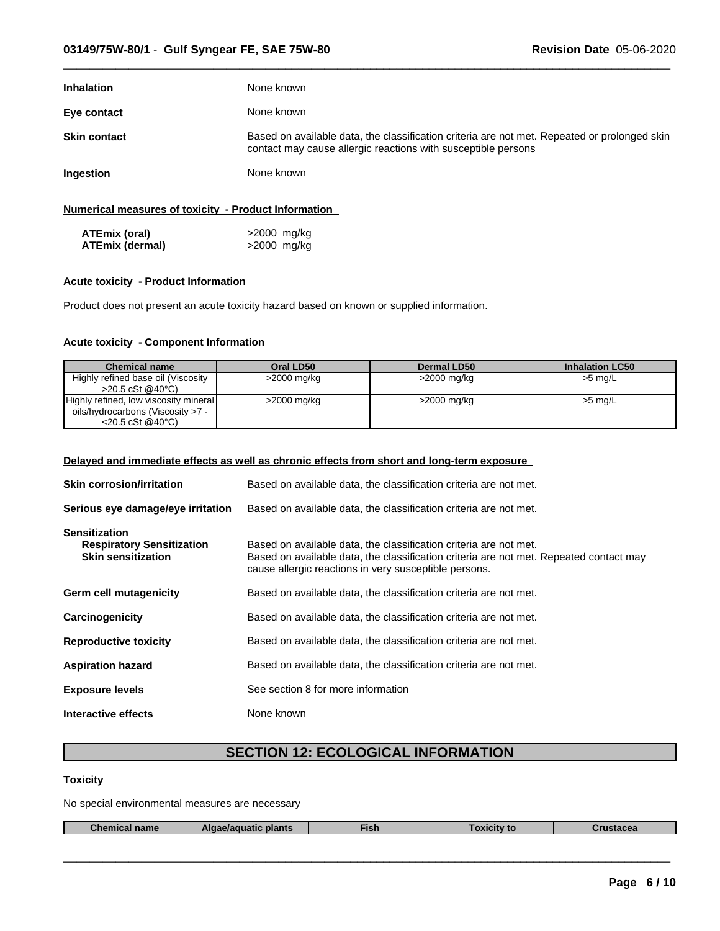| <b>Inhalation</b>   | None known                                                                                                                                                    |
|---------------------|---------------------------------------------------------------------------------------------------------------------------------------------------------------|
| Eye contact         | None known                                                                                                                                                    |
| <b>Skin contact</b> | Based on available data, the classification criteria are not met. Repeated or prolonged skin<br>contact may cause allergic reactions with susceptible persons |
| Ingestion           | None known                                                                                                                                                    |
|                     |                                                                                                                                                               |

 $\overline{\phantom{a}}$  ,  $\overline{\phantom{a}}$  ,  $\overline{\phantom{a}}$  ,  $\overline{\phantom{a}}$  ,  $\overline{\phantom{a}}$  ,  $\overline{\phantom{a}}$  ,  $\overline{\phantom{a}}$  ,  $\overline{\phantom{a}}$  ,  $\overline{\phantom{a}}$  ,  $\overline{\phantom{a}}$  ,  $\overline{\phantom{a}}$  ,  $\overline{\phantom{a}}$  ,  $\overline{\phantom{a}}$  ,  $\overline{\phantom{a}}$  ,  $\overline{\phantom{a}}$  ,  $\overline{\phantom{a}}$ 

## **Numerical measures of toxicity - Product Information**

| ATEmix (oral)   | >2000 mg/kg |
|-----------------|-------------|
| ATEmix (dermal) | >2000 mg/kg |

## **Acute toxicity - Product Information**

Product does not present an acute toxicity hazard based on known or supplied information.

# **Acute toxicity - Component Information**

| <b>Chemical name</b>                  | Oral LD50   | Dermal LD50   | <b>Inhalation LC50</b> |
|---------------------------------------|-------------|---------------|------------------------|
| Highly refined base oil (Viscosity    | >2000 mg/kg | $>2000$ mg/kg | $>5$ mg/L              |
| $>20.5 \text{ cSt} @40^{\circ}C$      |             |               |                        |
| Highly refined, low viscosity mineral | >2000 mg/kg | >2000 mg/kg   | $>5$ mg/L              |
| oils/hydrocarbons (Viscosity >7 -     |             |               |                        |
| $<$ 20.5 cSt @40 $^{\circ}$ C)        |             |               |                        |

# **Delayed and immediate effects as well as chronic effects from short and long-term exposure**

| <b>Skin corrosion/irritation</b>                                                      | Based on available data, the classification criteria are not met.                                                                                                                                                    |
|---------------------------------------------------------------------------------------|----------------------------------------------------------------------------------------------------------------------------------------------------------------------------------------------------------------------|
| Serious eye damage/eye irritation                                                     | Based on available data, the classification criteria are not met.                                                                                                                                                    |
| <b>Sensitization</b><br><b>Respiratory Sensitization</b><br><b>Skin sensitization</b> | Based on available data, the classification criteria are not met.<br>Based on available data, the classification criteria are not met. Repeated contact may<br>cause allergic reactions in very susceptible persons. |
| Germ cell mutagenicity                                                                | Based on available data, the classification criteria are not met.                                                                                                                                                    |
| Carcinogenicity                                                                       | Based on available data, the classification criteria are not met.                                                                                                                                                    |
| <b>Reproductive toxicity</b>                                                          | Based on available data, the classification criteria are not met.                                                                                                                                                    |
| <b>Aspiration hazard</b>                                                              | Based on available data, the classification criteria are not met.                                                                                                                                                    |
| <b>Exposure levels</b>                                                                | See section 8 for more information                                                                                                                                                                                   |
| Interactive effects                                                                   | None known                                                                                                                                                                                                           |

# **SECTION 12: ECOLOGICAL INFORMATION**

# **Toxicity**

No special environmental measures are necessary

| <b>Thor</b><br><b>plants</b><br>ISI.<br>name<br>islauta<br>--- |
|----------------------------------------------------------------|
|----------------------------------------------------------------|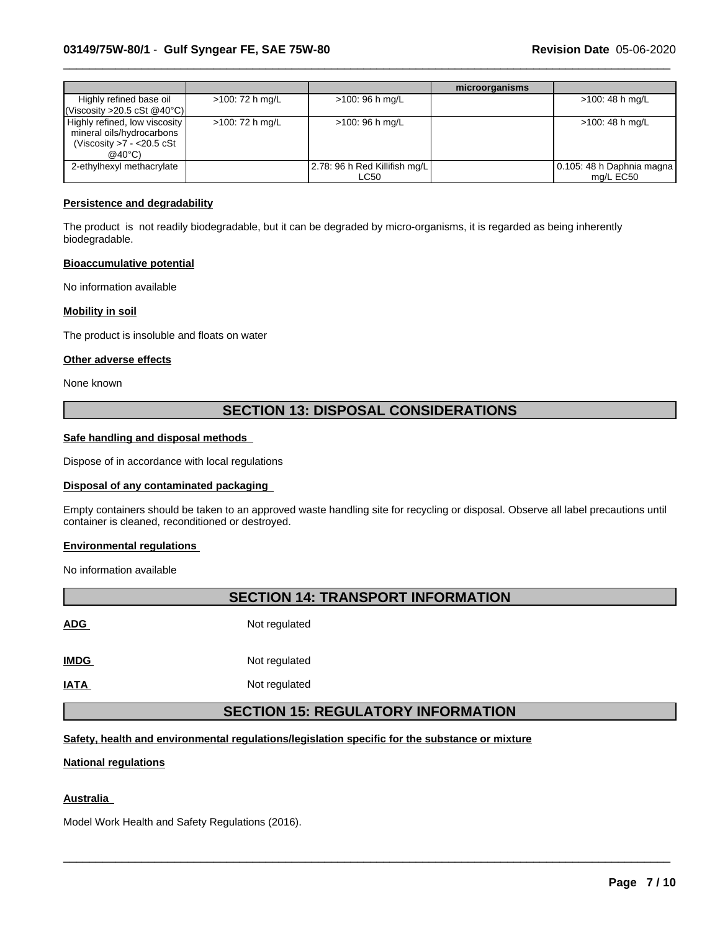|                                                                                                              |                 |                                              | microorganisms |                                        |
|--------------------------------------------------------------------------------------------------------------|-----------------|----------------------------------------------|----------------|----------------------------------------|
| Highly refined base oil<br>$\vert$ (Viscosity >20.5 cSt @40°C) $\vert$                                       | >100: 72 h mg/L | >100: 96 h mg/L                              |                | >100: 48 h mg/L                        |
| Highly refined, low viscosity<br>mineral oils/hydrocarbons<br>(Viscosity $>7 - 20.5$ cSt<br>$@40^{\circ}$ C) | >100: 72 h mg/L | >100: 96 h mg/L                              |                | >100: 48 h mg/L                        |
| 2-ethylhexyl methacrylate                                                                                    |                 | 2.78: 96 h Red Killifish mg/L<br><b>LC50</b> |                | 0.105: 48 h Daphnia magna<br>mg/L EC50 |

 $\overline{\phantom{a}}$  ,  $\overline{\phantom{a}}$  ,  $\overline{\phantom{a}}$  ,  $\overline{\phantom{a}}$  ,  $\overline{\phantom{a}}$  ,  $\overline{\phantom{a}}$  ,  $\overline{\phantom{a}}$  ,  $\overline{\phantom{a}}$  ,  $\overline{\phantom{a}}$  ,  $\overline{\phantom{a}}$  ,  $\overline{\phantom{a}}$  ,  $\overline{\phantom{a}}$  ,  $\overline{\phantom{a}}$  ,  $\overline{\phantom{a}}$  ,  $\overline{\phantom{a}}$  ,  $\overline{\phantom{a}}$ 

#### **Persistence and degradability**

The product is not readily biodegradable, but it can be degraded by micro-organisms, it is regarded as being inherently biodegradable.

#### **Bioaccumulative potential**

No information available

## **Mobility in soil**

The product is insoluble and floats on water

#### **Other adverse effects**

None known

# **SECTION 13: DISPOSAL CONSIDERATIONS**

#### **Safe handling and disposal methods**

Dispose of in accordance with local regulations

# **Disposal of any contaminated packaging**

Empty containers should be taken to an approved waste handling site for recycling or disposal.Observe all label precautions until container is cleaned, reconditioned or destroyed.

#### **Environmental regulations**

No information available

# **SECTION 14: TRANSPORT INFORMATION ADG** Not regulated **IMDG** Not regulated **IATA** Not regulated **SECTION 15: REGULATORY INFORMATION**

 $\overline{\phantom{a}}$  ,  $\overline{\phantom{a}}$  ,  $\overline{\phantom{a}}$  ,  $\overline{\phantom{a}}$  ,  $\overline{\phantom{a}}$  ,  $\overline{\phantom{a}}$  ,  $\overline{\phantom{a}}$  ,  $\overline{\phantom{a}}$  ,  $\overline{\phantom{a}}$  ,  $\overline{\phantom{a}}$  ,  $\overline{\phantom{a}}$  ,  $\overline{\phantom{a}}$  ,  $\overline{\phantom{a}}$  ,  $\overline{\phantom{a}}$  ,  $\overline{\phantom{a}}$  ,  $\overline{\phantom{a}}$ 

## **Safety, health and environmental regulations/legislation specific for the substance or mixture**

#### **National regulations**

## **Australia**

Model Work Health and Safety Regulations (2016).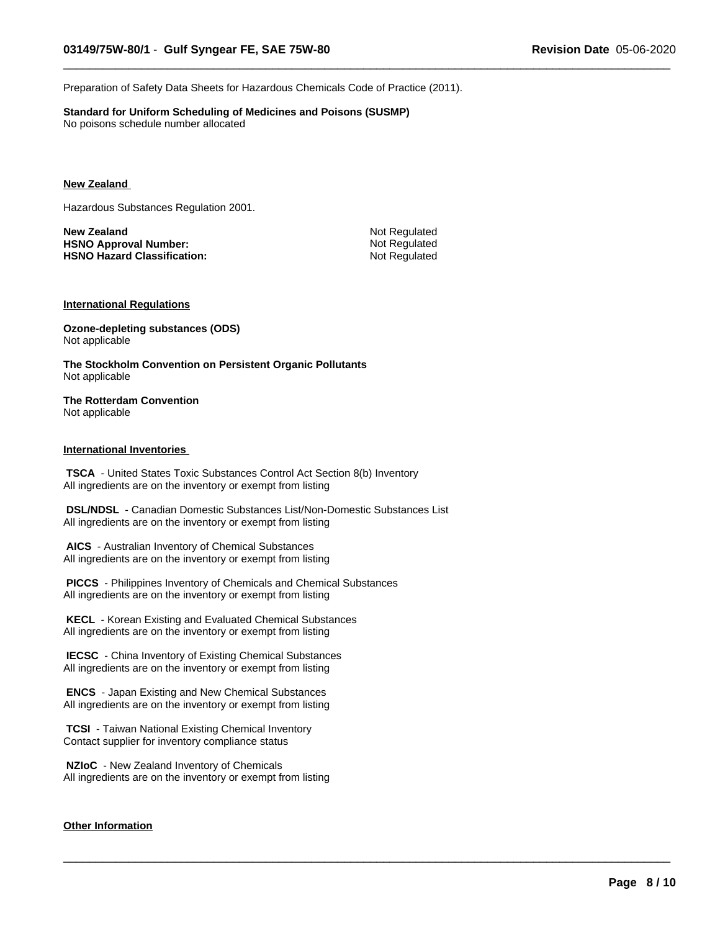Preparation of Safety Data Sheets for Hazardous Chemicals Code of Practice (2011).

**Standard for Uniform Scheduling of Medicines and Poisons (SUSMP)** No poisons schedule number allocated

#### **New Zealand**

Hazardous Substances Regulation 2001.

**New Zealand** Not Regulated **HSNO** Approval Number: Not Regulated **HSNO** Hazard Classification: Not Regulated

 $\overline{\phantom{a}}$  ,  $\overline{\phantom{a}}$  ,  $\overline{\phantom{a}}$  ,  $\overline{\phantom{a}}$  ,  $\overline{\phantom{a}}$  ,  $\overline{\phantom{a}}$  ,  $\overline{\phantom{a}}$  ,  $\overline{\phantom{a}}$  ,  $\overline{\phantom{a}}$  ,  $\overline{\phantom{a}}$  ,  $\overline{\phantom{a}}$  ,  $\overline{\phantom{a}}$  ,  $\overline{\phantom{a}}$  ,  $\overline{\phantom{a}}$  ,  $\overline{\phantom{a}}$  ,  $\overline{\phantom{a}}$ 

 $\overline{\phantom{a}}$  ,  $\overline{\phantom{a}}$  ,  $\overline{\phantom{a}}$  ,  $\overline{\phantom{a}}$  ,  $\overline{\phantom{a}}$  ,  $\overline{\phantom{a}}$  ,  $\overline{\phantom{a}}$  ,  $\overline{\phantom{a}}$  ,  $\overline{\phantom{a}}$  ,  $\overline{\phantom{a}}$  ,  $\overline{\phantom{a}}$  ,  $\overline{\phantom{a}}$  ,  $\overline{\phantom{a}}$  ,  $\overline{\phantom{a}}$  ,  $\overline{\phantom{a}}$  ,  $\overline{\phantom{a}}$ 

## **International Regulations**

**Ozone-depleting substances (ODS)** Not applicable

**The Stockholm Convention on Persistent Organic Pollutants** Not applicable

#### **The Rotterdam Convention** Not applicable

#### **International Inventories**

 **TSCA** - United States Toxic Substances Control Act Section 8(b) Inventory All ingredients are on the inventory or exempt from listing

 **DSL/NDSL** - Canadian Domestic Substances List/Non-Domestic Substances List All ingredients are on the inventory or exempt from listing

 **AICS** - Australian Inventory of Chemical Substances All ingredients are on the inventory or exempt from listing

 **PICCS** - Philippines Inventory of Chemicals and Chemical Substances All ingredients are on the inventory or exempt from listing

 **KECL** - Korean Existing and Evaluated Chemical Substances All ingredients are on the inventory or exempt from listing

 **IECSC** - China Inventory of Existing Chemical Substances All ingredients are on the inventory or exempt from listing

 **ENCS** - Japan Existing and New Chemical Substances All ingredients are on the inventory or exempt from listing

 **TCSI** - Taiwan National Existing Chemical Inventory Contact supplier for inventory compliance status

 **NZIoC** - New Zealand Inventory of Chemicals All ingredients are on the inventory or exempt from listing

#### **Other Information**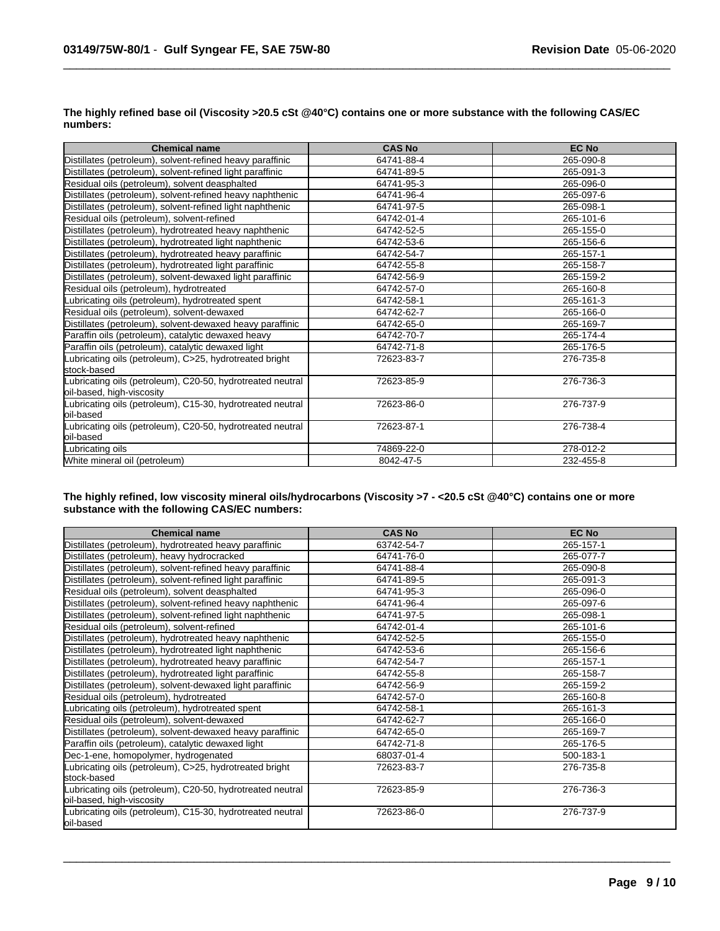| <b>Chemical name</b>                                                                    | <b>CAS No</b> | <b>EC No</b> |
|-----------------------------------------------------------------------------------------|---------------|--------------|
| Distillates (petroleum), solvent-refined heavy paraffinic                               | 64741-88-4    | 265-090-8    |
| Distillates (petroleum), solvent-refined light paraffinic                               | 64741-89-5    | 265-091-3    |
| Residual oils (petroleum), solvent deasphalted                                          | 64741-95-3    | 265-096-0    |
| Distillates (petroleum), solvent-refined heavy naphthenic                               | 64741-96-4    | 265-097-6    |
| Distillates (petroleum), solvent-refined light naphthenic                               | 64741-97-5    | 265-098-1    |
| Residual oils (petroleum), solvent-refined                                              | 64742-01-4    | 265-101-6    |
| Distillates (petroleum), hydrotreated heavy naphthenic                                  | 64742-52-5    | 265-155-0    |
| Distillates (petroleum), hydrotreated light naphthenic                                  | 64742-53-6    | 265-156-6    |
| Distillates (petroleum), hydrotreated heavy paraffinic                                  | 64742-54-7    | 265-157-1    |
| Distillates (petroleum), hydrotreated light paraffinic                                  | 64742-55-8    | 265-158-7    |
| Distillates (petroleum), solvent-dewaxed light paraffinic                               | 64742-56-9    | 265-159-2    |
| Residual oils (petroleum), hydrotreated                                                 | 64742-57-0    | 265-160-8    |
| Lubricating oils (petroleum), hydrotreated spent                                        | 64742-58-1    | 265-161-3    |
| Residual oils (petroleum), solvent-dewaxed                                              | 64742-62-7    | 265-166-0    |
| Distillates (petroleum), solvent-dewaxed heavy paraffinic                               | 64742-65-0    | 265-169-7    |
| Paraffin oils (petroleum), catalytic dewaxed heavy                                      | 64742-70-7    | 265-174-4    |
| Paraffin oils (petroleum), catalytic dewaxed light                                      | 64742-71-8    | 265-176-5    |
| Lubricating oils (petroleum), C>25, hydrotreated bright<br>stock-based                  | 72623-83-7    | 276-735-8    |
| Lubricating oils (petroleum), C20-50, hydrotreated neutral<br>oil-based, high-viscosity | 72623-85-9    | 276-736-3    |
| Lubricating oils (petroleum), C15-30, hydrotreated neutral<br>loil-based                | 72623-86-0    | 276-737-9    |
| Lubricating oils (petroleum), C20-50, hydrotreated neutral<br>loil-based                | 72623-87-1    | 276-738-4    |
| Lubricating oils                                                                        | 74869-22-0    | 278-012-2    |
| White mineral oil (petroleum)                                                           | 8042-47-5     | 232-455-8    |

The highly refined base oil (Viscosity >20.5 cSt @40°C) contains one or more substance with the following CAS/EC **numbers:**

 $\overline{\phantom{a}}$  ,  $\overline{\phantom{a}}$  ,  $\overline{\phantom{a}}$  ,  $\overline{\phantom{a}}$  ,  $\overline{\phantom{a}}$  ,  $\overline{\phantom{a}}$  ,  $\overline{\phantom{a}}$  ,  $\overline{\phantom{a}}$  ,  $\overline{\phantom{a}}$  ,  $\overline{\phantom{a}}$  ,  $\overline{\phantom{a}}$  ,  $\overline{\phantom{a}}$  ,  $\overline{\phantom{a}}$  ,  $\overline{\phantom{a}}$  ,  $\overline{\phantom{a}}$  ,  $\overline{\phantom{a}}$ 

## The highly refined, low viscosity mineral oils/hydrocarbons (Viscosity >7 - <20.5 cSt @40°C) contains one or more **substance with the following CAS/EC numbers:**

| <b>Chemical name</b>                                                                    | <b>CAS No</b> | <b>EC No</b> |
|-----------------------------------------------------------------------------------------|---------------|--------------|
| Distillates (petroleum), hydrotreated heavy paraffinic                                  | 63742-54-7    | 265-157-1    |
| Distillates (petroleum), heavy hydrocracked                                             | 64741-76-0    | 265-077-7    |
| Distillates (petroleum), solvent-refined heavy paraffinic                               | 64741-88-4    | 265-090-8    |
| Distillates (petroleum), solvent-refined light paraffinic                               | 64741-89-5    | 265-091-3    |
| Residual oils (petroleum), solvent deasphalted                                          | 64741-95-3    | 265-096-0    |
| Distillates (petroleum), solvent-refined heavy naphthenic                               | 64741-96-4    | 265-097-6    |
| Distillates (petroleum), solvent-refined light naphthenic                               | 64741-97-5    | 265-098-1    |
| Residual oils (petroleum), solvent-refined                                              | 64742-01-4    | 265-101-6    |
| Distillates (petroleum), hydrotreated heavy naphthenic                                  | 64742-52-5    | 265-155-0    |
| Distillates (petroleum), hydrotreated light naphthenic                                  | 64742-53-6    | 265-156-6    |
| Distillates (petroleum), hydrotreated heavy paraffinic                                  | 64742-54-7    | 265-157-1    |
| Distillates (petroleum), hydrotreated light paraffinic                                  | 64742-55-8    | 265-158-7    |
| Distillates (petroleum), solvent-dewaxed light paraffinic                               | 64742-56-9    | 265-159-2    |
| Residual oils (petroleum), hydrotreated                                                 | 64742-57-0    | 265-160-8    |
| Lubricating oils (petroleum), hydrotreated spent                                        | 64742-58-1    | 265-161-3    |
| Residual oils (petroleum), solvent-dewaxed                                              | 64742-62-7    | 265-166-0    |
| Distillates (petroleum), solvent-dewaxed heavy paraffinic                               | 64742-65-0    | 265-169-7    |
| Paraffin oils (petroleum), catalytic dewaxed light                                      | 64742-71-8    | 265-176-5    |
| Dec-1-ene, homopolymer, hydrogenated                                                    | 68037-01-4    | 500-183-1    |
| Lubricating oils (petroleum), C>25, hydrotreated bright<br>lstock-based                 | 72623-83-7    | 276-735-8    |
| Lubricating oils (petroleum), C20-50, hydrotreated neutral<br>oil-based, high-viscosity | 72623-85-9    | 276-736-3    |
| Lubricating oils (petroleum), C15-30, hydrotreated neutral<br>oil-based                 | 72623-86-0    | 276-737-9    |